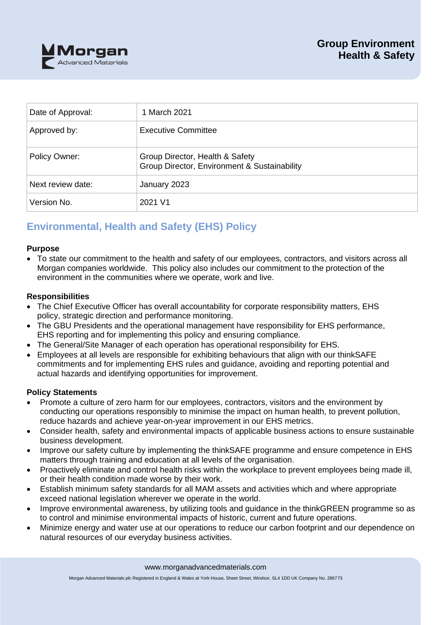

| Date of Approval: | 1 March 2021                                                                    |
|-------------------|---------------------------------------------------------------------------------|
| Approved by:      | <b>Executive Committee</b>                                                      |
| Policy Owner:     | Group Director, Health & Safety<br>Group Director, Environment & Sustainability |
| Next review date: | January 2023                                                                    |
| Version No.       | 2021 V1                                                                         |

# **Environmental, Health and Safety (EHS) Policy**

## **Purpose**

• To state our commitment to the health and safety of our employees, contractors, and visitors across all Morgan companies worldwide. This policy also includes our commitment to the protection of the environment in the communities where we operate, work and live.

## **Responsibilities**

- The Chief Executive Officer has overall accountability for corporate responsibility matters, EHS policy, strategic direction and performance monitoring.
- The GBU Presidents and the operational management have responsibility for EHS performance, EHS reporting and for implementing this policy and ensuring compliance.
- The General/Site Manager of each operation has operational responsibility for EHS.
- Employees at all levels are responsible for exhibiting behaviours that align with our thinkSAFE commitments and for implementing EHS rules and guidance, avoiding and reporting potential and actual hazards and identifying opportunities for improvement.

## **Policy Statements**

- Promote a culture of zero harm for our employees, contractors, visitors and the environment by conducting our operations responsibly to minimise the impact on human health, to prevent pollution, reduce hazards and achieve year-on-year improvement in our EHS metrics.
- Consider health, safety and environmental impacts of applicable business actions to ensure sustainable business development.
- Improve our safety culture by implementing the thinkSAFE programme and ensure competence in EHS matters through training and education at all levels of the organisation.
- Proactively eliminate and control health risks within the workplace to prevent employees being made ill, or their health condition made worse by their work.
- Establish minimum safety standards for all MAM assets and activities which and where appropriate exceed national legislation wherever we operate in the world.
- Improve environmental awareness, by utilizing tools and guidance in the thinkGREEN programme so as to control and minimise environmental impacts of historic, current and future operations.
- Minimize energy and water use at our operations to reduce our carbon footprint and our dependence on natural resources of our everyday business activities.

www.morganadvancedmaterials.com

Morgan Advanced Materials plc Registered in England & Wales at York House, Sheet Street, Windsor, SL4 1DD UK Company No. 286773